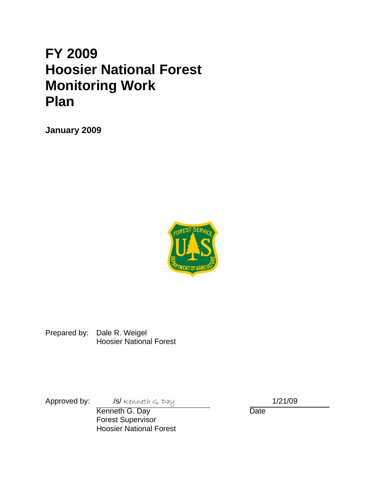# **FY 2009 Hoosier National Forest Monitoring Work Plan**

**January 2009** 



Prepared by: Dale R. Weigel Hoosier National Forest

Approved by: /s/ Kenneth G. Day 1/21/09

**Kenneth G. Day** Date Forest Supervisor Hoosier National Forest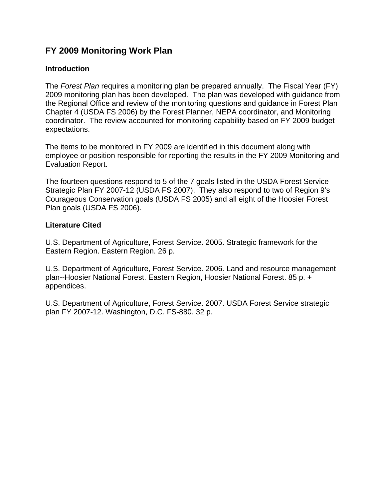## **FY 2009 Monitoring Work Plan**

## **Introduction**

The *Forest Plan* requires a monitoring plan be prepared annually. The Fiscal Year (FY) 2009 monitoring plan has been developed. The plan was developed with guidance from the Regional Office and review of the monitoring questions and guidance in Forest Plan Chapter 4 (USDA FS 2006) by the Forest Planner, NEPA coordinator, and Monitoring coordinator. The review accounted for monitoring capability based on FY 2009 budget expectations.

The items to be monitored in FY 2009 are identified in this document along with employee or position responsible for reporting the results in the FY 2009 Monitoring and Evaluation Report.

The fourteen questions respond to 5 of the 7 goals listed in the USDA Forest Service Strategic Plan FY 2007-12 (USDA FS 2007). They also respond to two of Region 9's Courageous Conservation goals (USDA FS 2005) and all eight of the Hoosier Forest Plan goals (USDA FS 2006).

## **Literature Cited**

U.S. Department of Agriculture, Forest Service. 2005. Strategic framework for the Eastern Region. Eastern Region. 26 p.

U.S. Department of Agriculture, Forest Service. 2006. Land and resource management plan--Hoosier National Forest. Eastern Region, Hoosier National Forest. 85 p. + appendices.

U.S. Department of Agriculture, Forest Service. 2007. USDA Forest Service strategic plan FY 2007-12. Washington, D.C. FS-880. 32 p.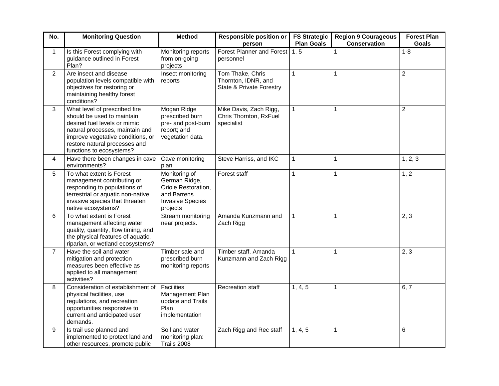| No.            | <b>Monitoring Question</b>                                                                                                                                                                                                       | <b>Method</b>                                                                                               | <b>Responsible position or</b><br>person                                       | <b>FS Strategic</b><br><b>Plan Goals</b> | <b>Region 9 Courageous</b><br><b>Conservation</b> | <b>Forest Plan</b><br><b>Goals</b> |
|----------------|----------------------------------------------------------------------------------------------------------------------------------------------------------------------------------------------------------------------------------|-------------------------------------------------------------------------------------------------------------|--------------------------------------------------------------------------------|------------------------------------------|---------------------------------------------------|------------------------------------|
| $\mathbf{1}$   | Is this Forest complying with<br>guidance outlined in Forest<br>Plan?                                                                                                                                                            | Monitoring reports<br>from on-going<br>projects                                                             | Forest Planner and Forest<br>personnel                                         | 1, 5                                     | $\mathbf{1}$                                      | $1 - 8$                            |
| $\overline{2}$ | Are insect and disease<br>population levels compatible with<br>objectives for restoring or<br>maintaining healthy forest<br>conditions?                                                                                          | Insect monitoring<br>reports                                                                                | Tom Thake, Chris<br>Thornton, IDNR, and<br><b>State &amp; Private Forestry</b> | 1                                        | $\mathbf{1}$                                      | $\overline{2}$                     |
| 3              | What level of prescribed fire<br>should be used to maintain<br>desired fuel levels or mimic<br>natural processes, maintain and<br>improve vegetative conditions, or<br>restore natural processes and<br>functions to ecosystems? | Mogan Ridge<br>prescribed burn<br>pre- and post-burn<br>report; and<br>vegetation data.                     | Mike Davis, Zach Rigg,<br>Chris Thornton, RxFuel<br>specialist                 | 1                                        | $\mathbf 1$                                       | $\overline{c}$                     |
| 4              | Have there been changes in cave<br>environments?                                                                                                                                                                                 | Cave monitoring<br>plan                                                                                     | Steve Harriss, and IKC                                                         | 1                                        | $\mathbf{1}$                                      | 1, 2, 3                            |
| 5              | To what extent is Forest<br>management contributing or<br>responding to populations of<br>terrestrial or aquatic non-native<br>invasive species that threaten<br>native ecosystems?                                              | Monitoring of<br>German Ridge,<br>Oriole Restoration,<br>and Barrens<br><b>Invasive Species</b><br>projects | Forest staff                                                                   | 1                                        | $\mathbf{1}$                                      | 1, 2                               |
| 6              | To what extent is Forest<br>management affecting water<br>quality, quantity, flow timing, and<br>the physical features of aquatic,<br>riparian, or wetland ecosystems?                                                           | Stream monitoring<br>near projects.                                                                         | Amanda Kunzmann and<br>Zach Rigg                                               | $\mathbf{1}$                             | $\mathbf{1}$                                      | 2, 3                               |
| $\overline{7}$ | Have the soil and water<br>mitigation and protection<br>measures been effective as<br>applied to all management<br>activities?                                                                                                   | Timber sale and<br>prescribed burn<br>monitoring reports                                                    | Timber staff, Amanda<br>Kunzmann and Zach Rigg                                 | $\mathbf{1}$                             | $\mathbf{1}$                                      | 2, 3                               |
| 8              | Consideration of establishment of<br>physical facilities, use<br>regulations, and recreation<br>opportunities responsive to<br>current and anticipated user<br>demands.                                                          | <b>Facilities</b><br>Management Plan<br>update and Trails<br>Plan<br>implementation                         | <b>Recreation staff</b>                                                        | 1, 4, 5                                  | $\mathbf{1}$                                      | 6, 7                               |
| 9              | Is trail use planned and<br>implemented to protect land and<br>other resources, promote public                                                                                                                                   | Soil and water<br>monitoring plan:<br>Trails 2008                                                           | Zach Rigg and Rec staff                                                        | 1, 4, 5                                  | $\mathbf{1}$                                      | 6                                  |